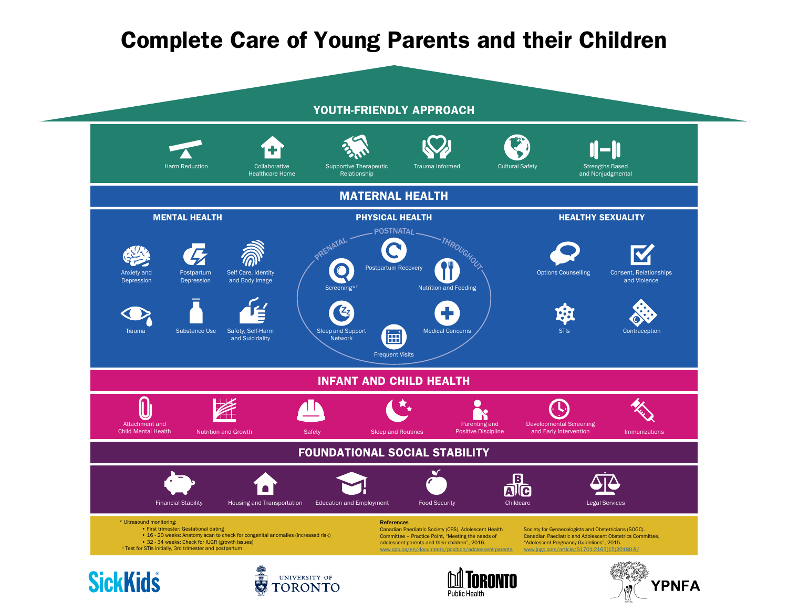## Complete Care of Young Parents and their Children